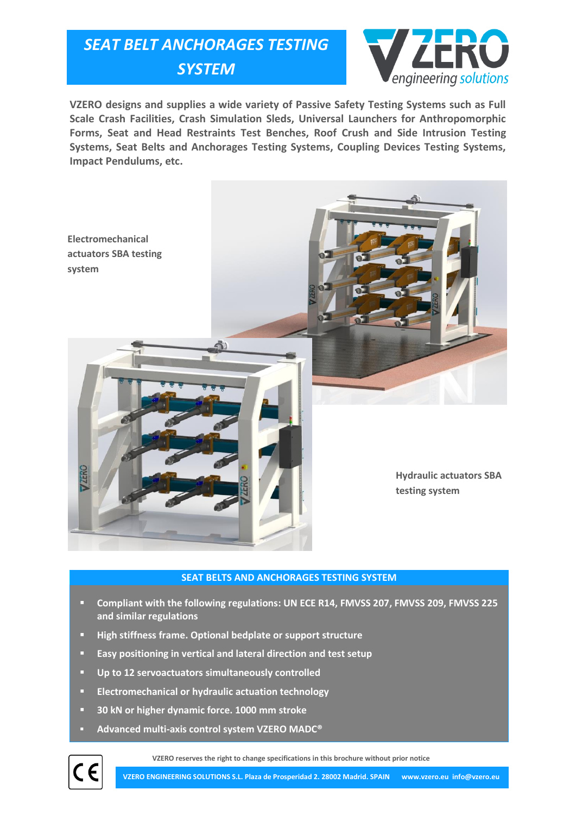## *SEAT BELT ANCHORAGES TESTING SYSTEM*



**VZERO designs and supplies a wide variety of Passive Safety Testing Systems such as Full Scale Crash Facilities, Crash Simulation Sleds, Universal Launchers for Anthropomorphic Forms, Seat and Head Restraints Test Benches, Roof Crush and Side Intrusion Testing Systems, Seat Belts and Anchorages Testing Systems, Coupling Devices Testing Systems, Impact Pendulums, etc.**



## **SEAT BELTS AND ANCHORAGES TESTING SYSTEM**

- **Compliant with the following regulations: UN ECE R14, FMVSS 207, FMVSS 209, FMVSS 225 and similar regulations**
- **High stiffness frame. Optional bedplate or support structure**
- **Easy positioning in vertical and lateral direction and test setup**
- **Up to 12 servoactuators simultaneously controlled**
- **Electromechanical or hydraulic actuation technology**
- **30 kN or higher dynamic force. 1000 mm stroke**
- **Advanced multi-axis control system VZERO MADC®**

**VZERO reserves the right to change specifications in this brochure without prior notice**